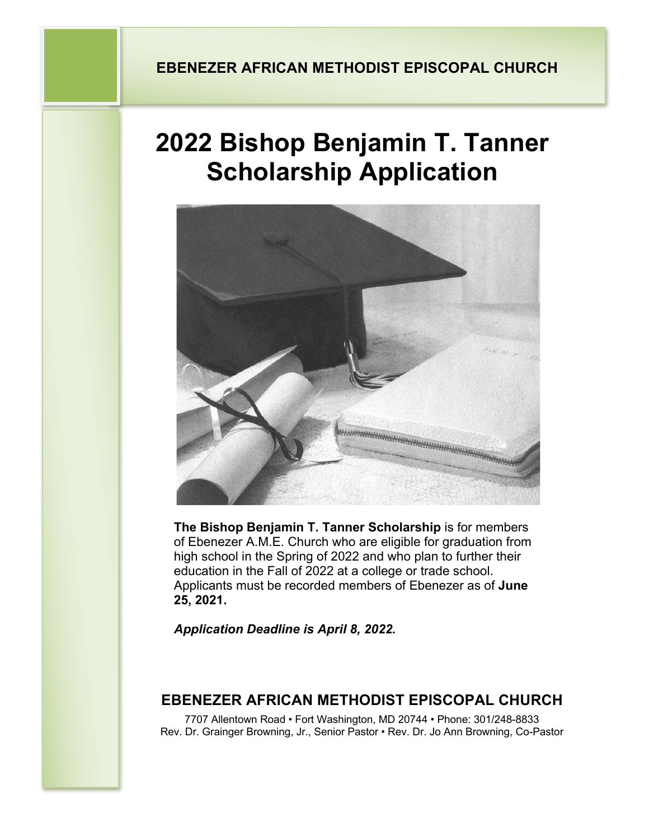# **2022 Bishop Benjamin T. Tanner Scholarship Application**



**The Bishop Benjamin T. Tanner Scholarship** is for members of Ebenezer A.M.E. Church who are eligible for graduation from high school in the Spring of 2022 and who plan to further their education in the Fall of 2022 at a college or trade school. Applicants must be recorded members of Ebenezer as of **June 25, 2021.** 

*Application Deadline is April 8, 2022.*

## **EBENEZER AFRICAN METHODIST EPISCOPAL CHURCH**

7707 Allentown Road • Fort Washington, MD 20744 • Phone: 301/248-8833 Rev. Dr. Grainger Browning, Jr., Senior Pastor • Rev. Dr. Jo Ann Browning, Co-Pastor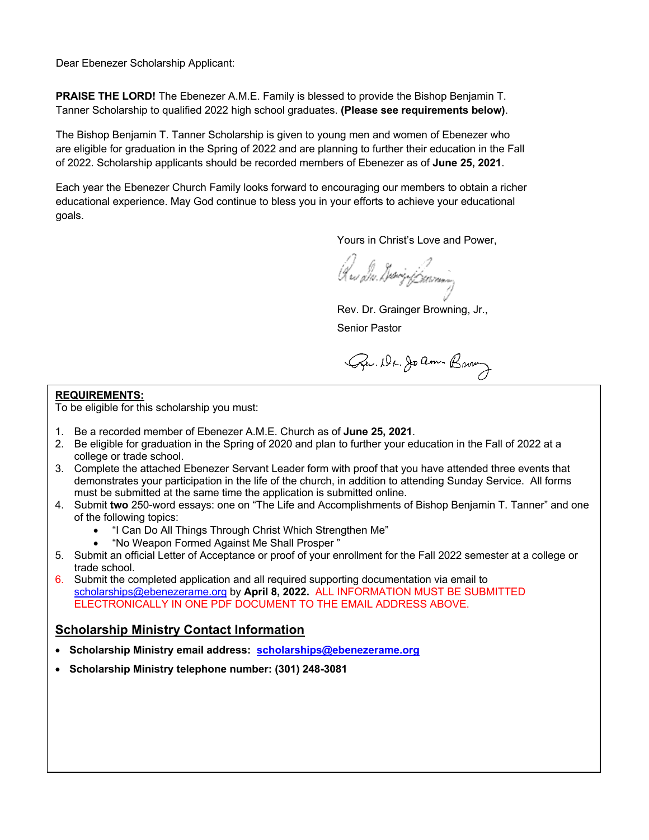Dear Ebenezer Scholarship Applicant:

**PRAISE THE LORD!** The Ebenezer A.M.E. Family is blessed to provide the Bishop Benjamin T. Tanner Scholarship to qualified 2022 high school graduates. **(Please see requirements below)**.

The Bishop Benjamin T. Tanner Scholarship is given to young men and women of Ebenezer who are eligible for graduation in the Spring of 2022 and are planning to further their education in the Fall of 2022. Scholarship applicants should be recorded members of Ebenezer as of **June 25, 2021**.

Each year the Ebenezer Church Family looks forward to encouraging our members to obtain a richer educational experience. May God continue to bless you in your efforts to achieve your educational goals.

Yours in Christ's Love and Power,

Qus d.v. divriq forming

Rev. Dr. Grainger Browning, Jr.,

Senior Pastor

Gew. Dr. Joann Brown

#### **REQUIREMENTS:**

To be eligible for this scholarship you must:

- 1. Be a recorded member of Ebenezer A.M.E. Church as of **June 25, 2021**.
- 2. Be eligible for graduation in the Spring of 2020 and plan to further your education in the Fall of 2022 at a college or trade school.
- 3. Complete the attached Ebenezer Servant Leader form with proof that you have attended three events that demonstrates your participation in the life of the church, in addition to attending Sunday Service. All forms must be submitted at the same time the application is submitted online.
- 4. Submit **two** 250-word essays: one on "The Life and Accomplishments of Bishop Benjamin T. Tanner" and one of the following topics:
	- "I Can Do All Things Through Christ Which Strengthen Me"
	- "No Weapon Formed Against Me Shall Prosper "
- 5. Submit an official Letter of Acceptance or proof of your enrollment for the Fall 2022 semester at a college or trade school.
- 6. Submit the completed application and all required supporting documentation via email to scholarships@ebenezerame.org by **April 8, 2022.** ALL INFORMATION MUST BE SUBMITTED ELECTRONICALLY IN ONE PDF DOCUMENT TO THE EMAIL ADDRESS ABOVE.

#### **Scholarship Ministry Contact Information**

- **Scholarship Ministry email address: scholarships@ebenezerame.org**
- **Scholarship Ministry telephone number: (301) 248-3081**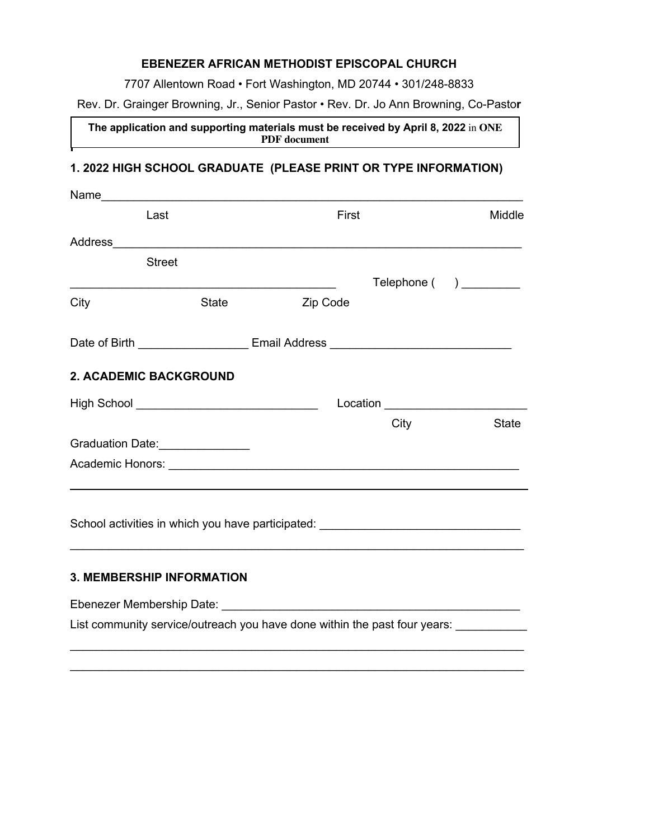#### **EBENEZER AFRICAN METHODIST EPISCOPAL CHURCH**

7707 Allentown Road • Fort Washington, MD 20744 • 301/248-8833

Rev. Dr. Grainger Browning, Jr., Senior Pastor • Rev. Dr. Jo Ann Browning, Co-Pasto**r**

**The application and supporting materials must be received by April 8, 2022** in **ONE PDF document**

### **1. 2022 HIGH SCHOOL GRADUATE (PLEASE PRINT OR TYPE INFORMATION)**

**i**

| Name_                                          |                                       |                                                                                                                                                                                                                                |      |                        |
|------------------------------------------------|---------------------------------------|--------------------------------------------------------------------------------------------------------------------------------------------------------------------------------------------------------------------------------|------|------------------------|
|                                                | Last                                  | First                                                                                                                                                                                                                          |      | Middle                 |
|                                                |                                       |                                                                                                                                                                                                                                |      |                        |
|                                                | <b>Street</b>                         |                                                                                                                                                                                                                                |      |                        |
|                                                |                                       |                                                                                                                                                                                                                                |      | Telephone () _________ |
| City                                           | <b>State</b>                          | Zip Code                                                                                                                                                                                                                       |      |                        |
|                                                |                                       | Date of Birth ________________________________Email Address ____________________                                                                                                                                               |      |                        |
|                                                | <b>2. ACADEMIC BACKGROUND</b>         |                                                                                                                                                                                                                                |      |                        |
| High School __________________________________ |                                       |                                                                                                                                                                                                                                |      |                        |
|                                                |                                       |                                                                                                                                                                                                                                | City | <b>State</b>           |
|                                                | Graduation Date:<br><u>Craduation</u> |                                                                                                                                                                                                                                |      |                        |
|                                                |                                       |                                                                                                                                                                                                                                |      |                        |
|                                                |                                       |                                                                                                                                                                                                                                |      |                        |
|                                                |                                       |                                                                                                                                                                                                                                |      |                        |
|                                                |                                       | School activities in which you have participated: ______________________________                                                                                                                                               |      |                        |
|                                                |                                       |                                                                                                                                                                                                                                |      |                        |
|                                                | <b>3. MEMBERSHIP INFORMATION</b>      |                                                                                                                                                                                                                                |      |                        |
|                                                |                                       | Ebenezer Membership Date: National According of the Contract of the Contract of the Contract of the Contract of the Contract of the Contract of the Contract of the Contract of the Contract of the Contract of the Contract o |      |                        |
|                                                |                                       | List community service/outreach you have done within the past four years: _______                                                                                                                                              |      |                        |
|                                                |                                       |                                                                                                                                                                                                                                |      |                        |

 $\_$